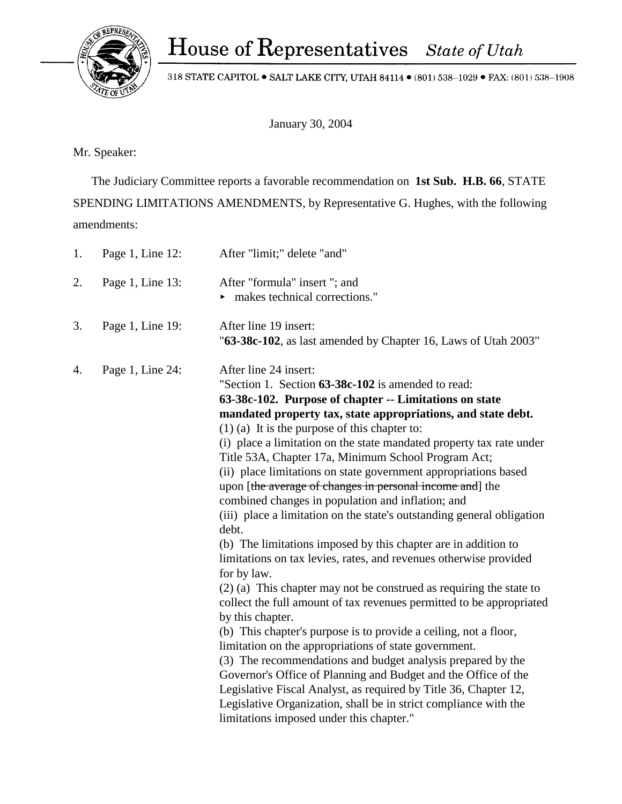318 STATE CAPITOL  $\bullet$  SALT LAKE CITY, UTAH 84114  $\bullet$  (801) 538–1029  $\bullet$  FAX: (801) 538–1908

January 30, 2004

Mr. Speaker:

 The Judiciary Committee reports a favorable recommendation on **1st Sub. H.B. 66**, STATE SPENDING LIMITATIONS AMENDMENTS, by Representative G. Hughes, with the following amendments:

| 1. | Page 1, Line 12: | After "limit;" delete "and"                                                                                                                                                                                                                                                                                                                                                                                                                                                                                                                                                                                                                                                                                                                                                                                                                                                                                                                                                                                                                                                                                                                                                                                                                                                                                                                                                                                                                 |
|----|------------------|---------------------------------------------------------------------------------------------------------------------------------------------------------------------------------------------------------------------------------------------------------------------------------------------------------------------------------------------------------------------------------------------------------------------------------------------------------------------------------------------------------------------------------------------------------------------------------------------------------------------------------------------------------------------------------------------------------------------------------------------------------------------------------------------------------------------------------------------------------------------------------------------------------------------------------------------------------------------------------------------------------------------------------------------------------------------------------------------------------------------------------------------------------------------------------------------------------------------------------------------------------------------------------------------------------------------------------------------------------------------------------------------------------------------------------------------|
| 2. | Page 1, Line 13: | After "formula" insert "; and<br>makes technical corrections."                                                                                                                                                                                                                                                                                                                                                                                                                                                                                                                                                                                                                                                                                                                                                                                                                                                                                                                                                                                                                                                                                                                                                                                                                                                                                                                                                                              |
| 3. | Page 1, Line 19: | After line 19 insert:<br>"63-38c-102, as last amended by Chapter 16, Laws of Utah 2003"                                                                                                                                                                                                                                                                                                                                                                                                                                                                                                                                                                                                                                                                                                                                                                                                                                                                                                                                                                                                                                                                                                                                                                                                                                                                                                                                                     |
| 4. | Page 1, Line 24: | After line 24 insert:<br>"Section 1. Section 63-38c-102 is amended to read:<br>63-38c-102. Purpose of chapter -- Limitations on state<br>mandated property tax, state appropriations, and state debt.<br>$(1)$ (a) It is the purpose of this chapter to:<br>(i) place a limitation on the state mandated property tax rate under<br>Title 53A, Chapter 17a, Minimum School Program Act;<br>(ii) place limitations on state government appropriations based<br>upon [the average of changes in personal income and] the<br>combined changes in population and inflation; and<br>(iii) place a limitation on the state's outstanding general obligation<br>debt.<br>(b) The limitations imposed by this chapter are in addition to<br>limitations on tax levies, rates, and revenues otherwise provided<br>for by law.<br>$(2)$ (a) This chapter may not be construed as requiring the state to<br>collect the full amount of tax revenues permitted to be appropriated<br>by this chapter.<br>(b) This chapter's purpose is to provide a ceiling, not a floor,<br>limitation on the appropriations of state government.<br>(3) The recommendations and budget analysis prepared by the<br>Governor's Office of Planning and Budget and the Office of the<br>Legislative Fiscal Analyst, as required by Title 36, Chapter 12,<br>Legislative Organization, shall be in strict compliance with the<br>limitations imposed under this chapter." |